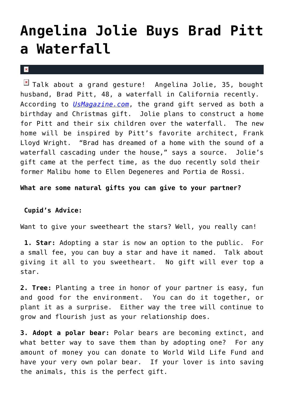## **[Angelina Jolie Buys Brad Pitt](https://cupidspulse.com/24930/angelina-jolie-buys-brad-pitt-waterfall-for-birthday-christmas/) [a Waterfall](https://cupidspulse.com/24930/angelina-jolie-buys-brad-pitt-waterfall-for-birthday-christmas/)**

 $\mathbf x$ 

 $\boxed{\times}$  Talk about a grand gesture! Angelina Jolie, 35, bought husband, Brad Pitt, 48, a waterfall in California recently. According to *[UsMagazine.com](http://www.usmagazine.com/)*, the grand gift served as both a birthday and Christmas gift. Jolie plans to construct a home for Pitt and their six children over the waterfall. The new home will be inspired by Pitt's favorite architect, Frank Lloyd Wright. "Brad has dreamed of a home with the sound of a waterfall cascading under the house," says a source. Jolie's gift came at the perfect time, as the duo recently sold their former Malibu home to Ellen Degeneres and Portia de Rossi.

**What are some natural gifts you can give to your partner?**

## **Cupid's Advice:**

Want to give your sweetheart the stars? Well, you really can!

**1. Star:** Adopting a star is now an option to the public. For a small fee, you can buy a star and have it named. Talk about giving it all to you sweetheart. No gift will ever top a star.

**2. Tree:** Planting a tree in honor of your partner is easy, fun and good for the environment. You can do it together, or plant it as a surprise. Either way the tree will continue to grow and flourish just as your relationship does.

**3. Adopt a polar bear:** Polar bears are becoming extinct, and what better way to save them than by adopting one? For any amount of money you can donate to World Wild Life Fund and have your very own polar bear. If your lover is into saving the animals, this is the perfect gift.